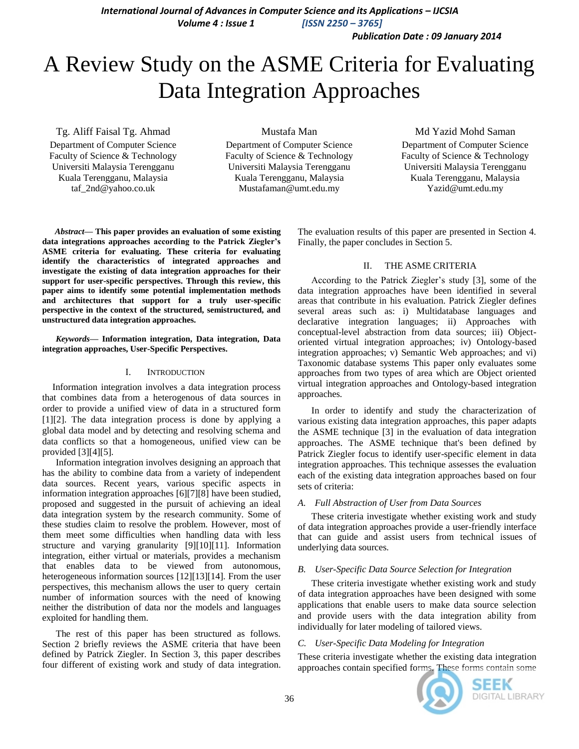*International Journal of Advances in Computer Science and its Applications – IJCSIA Volume 4 : Issue 1 [ISSN 2250 – 3765]*

*Publication Date : 09 January 2014*

# A Review Study on the ASME Criteria for Evaluating Data Integration Approaches

Tg. Aliff Faisal Tg. Ahmad Department of Computer Science Faculty of Science & Technology Universiti Malaysia Terengganu Kuala Terengganu, Malaysia taf\_2nd@yahoo.co.uk

Mustafa Man

Department of Computer Science Faculty of Science & Technology Universiti Malaysia Terengganu Kuala Terengganu, Malaysia Mustafaman@umt.edu.my

Md Yazid Mohd Saman Department of Computer Science Faculty of Science & Technology Universiti Malaysia Terengganu Kuala Terengganu, Malaysia Yazid@umt.edu.my

*Abstract***— This paper provides an evaluation of some existing data integrations approaches according to the Patrick Ziegler's ASME criteria for evaluating. These criteria for evaluating identify the characteristics of integrated approaches and investigate the existing of data integration approaches for their support for user-specific perspectives. Through this review, this paper aims to identify some potential implementation methods and architectures that support for a truly user-specific perspective in the context of the structured, semistructured, and unstructured data integration approaches.**

#### *Keywords—* **Information integration, Data integration, Data integration approaches, User-Specific Perspectives.**

#### I. INTRODUCTION

Information integration involves a data integration process that combines data from a heterogenous of data sources in order to provide a unified view of data in a structured form [1][2]. The data integration process is done by applying a global data model and by detecting and resolving schema and data conflicts so that a homogeneous, unified view can be provided [3][4][5].

Information integration involves designing an approach that has the ability to combine data from a variety of independent data sources. Recent years, various specific aspects in information integration approaches [6][7][8] have been studied, proposed and suggested in the pursuit of achieving an ideal data integration system by the research community. Some of these studies claim to resolve the problem. However, most of them meet some difficulties when handling data with less structure and varying granularity [9][10][11]. Information integration, either virtual or materials, provides a mechanism that enables data to be viewed from autonomous, heterogeneous information sources [12][13][14]. From the user perspectives, this mechanism allows the user to query certain number of information sources with the need of knowing neither the distribution of data nor the models and languages exploited for handling them.

The rest of this paper has been structured as follows. Section 2 briefly reviews the ASME criteria that have been defined by Patrick Ziegler. In Section 3, this paper describes four different of existing work and study of data integration. The evaluation results of this paper are presented in Section 4. Finally, the paper concludes in Section 5.

## II. THE ASME CRITERIA

According to the Patrick Ziegler's study [3], some of the data integration approaches have been identified in several areas that contribute in his evaluation. Patrick Ziegler defines several areas such as: i) Multidatabase languages and declarative integration languages; ii) Approaches with conceptual-level abstraction from data sources; iii) Objectoriented virtual integration approaches; iv) Ontology-based integration approaches; v) Semantic Web approaches; and vi) Taxonomic database systems This paper only evaluates some approaches from two types of area which are Object oriented virtual integration approaches and Ontology-based integration approaches.

In order to identify and study the characterization of various existing data integration approaches, this paper adapts the ASME technique [3] in the evaluation of data integration approaches. The ASME technique that's been defined by Patrick Ziegler focus to identify user-specific element in data integration approaches. This technique assesses the evaluation each of the existing data integration approaches based on four sets of criteria:

#### *A. Full Abstraction of User from Data Sources*

These criteria investigate whether existing work and study of data integration approaches provide a user-friendly interface that can guide and assist users from technical issues of underlying data sources.

#### *B. User-Specific Data Source Selection for Integration*

These criteria investigate whether existing work and study of data integration approaches have been designed with some applications that enable users to make data source selection and provide users with the data integration ability from individually for later modeling of tailored views.

#### *C. User-Specific Data Modeling for Integration*

These criteria investigate whether the existing data integration approaches contain specified forms. These forms contain some

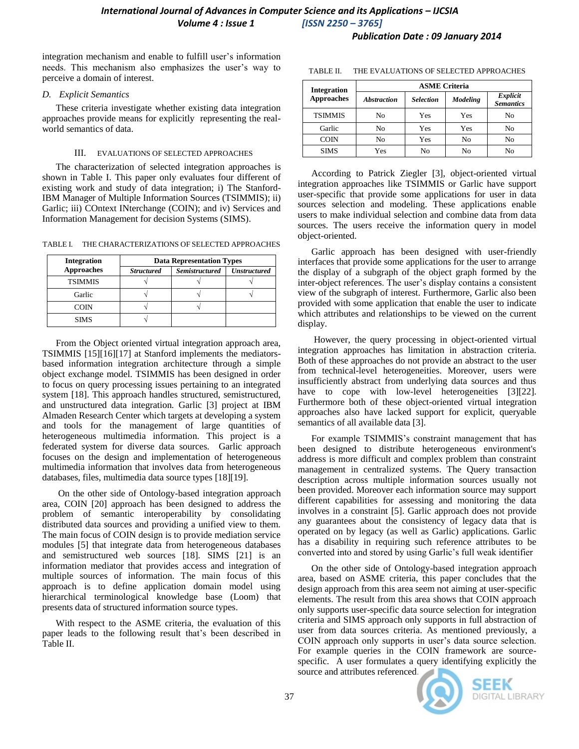## *Publication Date : 09 January 2014*

integration mechanism and enable to fulfill user's information needs. This mechanism also emphasizes the user's way to perceive a domain of interest.

## *D. Explicit Semantics*

These criteria investigate whether existing data integration approaches provide means for explicitly representing the realworld semantics of data.

## III. EVALUATIONS OF SELECTED APPROACHES

The characterization of selected integration approaches is shown in Table I. This paper only evaluates four different of existing work and study of data integration; i) The Stanford-IBM Manager of Multiple Information Sources (TSIMMIS); ii) Garlic; iii) COntext INterchange (COIN); and iv) Services and Information Management for decision Systems (SIMS).

TABLE I. THE CHARACTERIZATIONS OF SELECTED APPROACHES

| <b>Integration</b><br><b>Approaches</b> | <b>Data Representation Types</b> |                       |                     |  |
|-----------------------------------------|----------------------------------|-----------------------|---------------------|--|
|                                         | <b>Structured</b>                | <b>Semistructured</b> | <b>Unstructured</b> |  |
| <b>TSIMMIS</b>                          |                                  |                       |                     |  |
| Garlic                                  |                                  |                       |                     |  |
| <b>COIN</b>                             |                                  |                       |                     |  |
| <b>SIMS</b>                             |                                  |                       |                     |  |

From the Object oriented virtual integration approach area, TSIMMIS [15][16][17] at Stanford implements the mediatorsbased information integration architecture through a simple object exchange model. TSIMMIS has been designed in order to focus on query processing issues pertaining to an integrated system [18]. This approach handles structured, semistructured, and unstructured data integration. Garlic [3] project at IBM Almaden Research Center which targets at developing a system and tools for the management of large quantities of heterogeneous multimedia information. This project is a federated system for diverse data sources. Garlic approach focuses on the design and implementation of heterogeneous multimedia information that involves data from heterogeneous databases, files, multimedia data source types [18][19].

On the other side of Ontology-based integration approach area, COIN [20] approach has been designed to address the problem of semantic interoperability by consolidating distributed data sources and providing a unified view to them. The main focus of COIN design is to provide mediation service modules [5] that integrate data from heterogeneous databases and semistructured web sources [18]. SIMS [21] is an information mediator that provides access and integration of multiple sources of information. The main focus of this approach is to define application domain model using hierarchical terminological knowledge base (Loom) that presents data of structured information source types.

With respect to the ASME criteria, the evaluation of this paper leads to the following result that's been described in Table II.

| <b>Integration</b><br><b>Approaches</b> | <b>ASME Criteria</b> |                  |                 |                              |  |
|-----------------------------------------|----------------------|------------------|-----------------|------------------------------|--|
|                                         | <b>Abstraction</b>   | <b>Selection</b> | <b>Modeling</b> | Explicit<br><b>Semantics</b> |  |
| <b>TSIMMIS</b>                          | N <sub>0</sub>       | Yes              | Yes             | No                           |  |
| Garlic                                  | No                   | Yes              | Yes             | No                           |  |
| <b>COIN</b>                             | No                   | Yes              | No              | No                           |  |
| <b>SIMS</b>                             | Yes                  | No               | No              | No                           |  |

TABLE II. THE EVALUATIONS OF SELECTED APPROACHES

According to Patrick Ziegler [3], object-oriented virtual integration approaches like TSIMMIS or Garlic have support user-specific that provide some applications for user in data sources selection and modeling. These applications enable users to make individual selection and combine data from data sources. The users receive the information query in model object-oriented.

Garlic approach has been designed with user-friendly interfaces that provide some applications for the user to arrange the display of a subgraph of the object graph formed by the inter-object references. The user's display contains a consistent view of the subgraph of interest. Furthermore, Garlic also been provided with some application that enable the user to indicate which attributes and relationships to be viewed on the current display.

However, the query processing in object-oriented virtual integration approaches has limitation in abstraction criteria. Both of these approaches do not provide an abstract to the user from technical-level heterogeneities. Moreover, users were insufficiently abstract from underlying data sources and thus have to cope with low-level heterogeneities [3][22]. Furthermore both of these object-oriented virtual integration approaches also have lacked support for explicit, queryable semantics of all available data [3].

For example TSIMMIS's constraint management that has been designed to distribute heterogeneous environment's address is more difficult and complex problem than constraint management in centralized systems. The Query transaction description across multiple information sources usually not been provided. Moreover each information source may support different capabilities for assessing and monitoring the data involves in a constraint [5]. Garlic approach does not provide any guarantees about the consistency of legacy data that is operated on by legacy (as well as Garlic) applications. Garlic has a disability in requiring such reference attributes to be converted into and stored by using Garlic's full weak identifier

On the other side of Ontology-based integration approach area, based on ASME criteria, this paper concludes that the design approach from this area seem not aiming at user-specific elements. The result from this area shows that COIN approach only supports user-specific data source selection for integration criteria and SIMS approach only supports in full abstraction of user from data sources criteria. As mentioned previously, a COIN approach only supports in user's data source selection. For example queries in the COIN framework are sourcespecific. A user formulates a query identifying explicitly the source and attributes referenced.



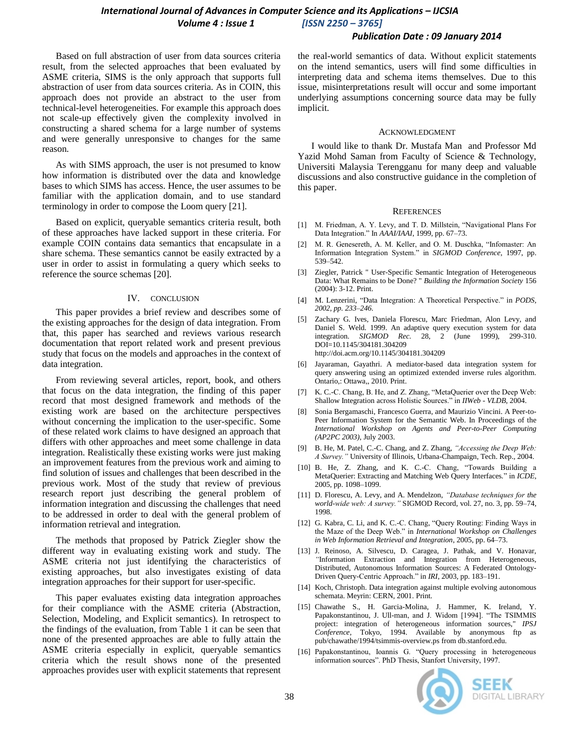# *International Journal of Advances in Computer Science and its Applications – IJCSIA Volume 4 : Issue 1 [ISSN 2250 – 3765]*

## *Publication Date : 09 January 2014*

Based on full abstraction of user from data sources criteria result, from the selected approaches that been evaluated by ASME criteria, SIMS is the only approach that supports full abstraction of user from data sources criteria. As in COIN, this approach does not provide an abstract to the user from technical-level heterogeneities. For example this approach does not scale-up effectively given the complexity involved in constructing a shared schema for a large number of systems and were generally unresponsive to changes for the same reason.

As with SIMS approach, the user is not presumed to know how information is distributed over the data and knowledge bases to which SIMS has access. Hence, the user assumes to be familiar with the application domain, and to use standard terminology in order to compose the Loom query [21].

Based on explicit, queryable semantics criteria result, both of these approaches have lacked support in these criteria. For example COIN contains data semantics that encapsulate in a share schema. These semantics cannot be easily extracted by a user in order to assist in formulating a query which seeks to reference the source schemas [20].

#### IV. CONCLUSION

This paper provides a brief review and describes some of the existing approaches for the design of data integration. From that, this paper has searched and reviews various research documentation that report related work and present previous study that focus on the models and approaches in the context of data integration.

From reviewing several articles, report, book, and others that focus on the data integration, the finding of this paper record that most designed framework and methods of the existing work are based on the architecture perspectives without concerning the implication to the user-specific. Some of these related work claims to have designed an approach that differs with other approaches and meet some challenge in data integration. Realistically these existing works were just making an improvement features from the previous work and aiming to find solution of issues and challenges that been described in the previous work. Most of the study that review of previous research report just describing the general problem of information integration and discussing the challenges that need to be addressed in order to deal with the general problem of information retrieval and integration.

The methods that proposed by Patrick Ziegler show the different way in evaluating existing work and study. The ASME criteria not just identifying the characteristics of existing approaches, but also investigates existing of data integration approaches for their support for user-specific.

This paper evaluates existing data integration approaches for their compliance with the ASME criteria (Abstraction, Selection, Modeling, and Explicit semantics). In retrospect to the findings of the evaluation, from Table 1 it can be seen that none of the presented approaches are able to fully attain the ASME criteria especially in explicit, queryable semantics criteria which the result shows none of the presented approaches provides user with explicit statements that represent

the real-world semantics of data. Without explicit statements on the intend semantics, users will find some difficulties in interpreting data and schema items themselves. Due to this issue, misinterpretations result will occur and some important underlying assumptions concerning source data may be fully implicit.

#### ACKNOWLEDGMENT

I would like to thank Dr. Mustafa Man and Professor Md Yazid Mohd Saman from Faculty of Science & Technology, Universiti Malaysia Terengganu for many deep and valuable discussions and also constructive guidance in the completion of this paper.

#### **REFERENCES**

- [1] M. Friedman, A. Y. Levy, and T. D. Millstein, "Navigational Plans For Data Integration." In *AAAI/IAAI*, 1999, pp. 67–73.
- [2] M. R. Genesereth, A. M. Keller, and O. M. Duschka, "Infomaster: An Information Integration System." in *SIGMOD Conference*, 1997, pp. 539–542.
- [3] Ziegler, Patrick " User-Specific Semantic Integration of Heterogeneous Data: What Remains to be Done? " *Building the Information Society* 156 (2004): 3-12. Print.
- [4] M. Lenzerini, "Data Integration: A Theoretical Perspective." in *PODS, 2002, pp. 233–246.*
- [5] Zachary G. Ives, Daniela Florescu, Marc Friedman, Alon Levy, and Daniel S. Weld. 1999. An adaptive query execution system for data integration. *SIGMOD Rec.* 28, 2 (June 1999), 299-310. DOI=10.1145/304181.304209 http://doi.acm.org/10.1145/304181.304209
- [6] Jayaraman, Gayathri. A mediator-based data integration system for query answering using an optimized extended inverse rules algorithm. Ontario,: Ottawa,, 2010. Print.
- [7] K. C.-C. Chang, B. He, and Z. Zhang, "MetaQuerier over the Deep Web: Shallow Integration across Holistic Sources." in *IIWeb - VLDB*, 2004.
- [8] Sonia Bergamaschi, Francesco Guerra, and Maurizio Vincini. A Peer-to-Peer Information System for the Semantic Web. In Proceedings of the *International Workshop on Agents and Peer-to-Peer Computing (AP2PC 2003)*, July 2003.
- [9] B. He, M. Patel, C.-C. Chang, and Z. Zhang, *"Accessing the Deep Web: A Survey."* University of Illinois, Urbana-Champaign, Tech. Rep., 2004.
- [10] B. He, Z. Zhang, and K. C.-C. Chang, "Towards Building a MetaQuerier: Extracting and Matching Web Query Interfaces*.*" in *ICDE*, 2005, pp. 1098–1099.
- [11] D. Florescu, A. Levy, and A. Mendelzon, *"Database techniques for the world-wide web: A survey."* SIGMOD Record, vol. 27, no. 3, pp. 59–74, 1998.
- [12] G. Kabra, C. Li, and K. C.-C. Chang, "Query Routing: Finding Ways in the Maze of the Deep Web." in *International Workshop on Challenges in Web Information Retrieval and Integration*, 2005, pp. 64–73.
- [13] J. Reinoso, A. Silvescu, D. Caragea, J. Pathak, and V. Honavar, *"*Information Extraction and Integration from Heterogeneous, Distributed, Autonomous Information Sources: A Federated Ontology-Driven Query-Centric Approach." in *IRI*, 2003, pp. 183–191.
- [14] Koch, Christoph. Data integration against multiple evolving autonomous schemata. Meyrin: CERN, 2001. Print.
- [15] Chawathe S., H. Garcia-Molina, J. Hammer, K. Ireland, Y. Papakonstantinou, J. Ull-man, and J. Widom [1994]. "The TSIMMIS project: integration of heterogeneous information sources," *IPSJ Conference*, Tokyo, 1994. Available by anonymous ftp as pub/chawathe/1994/tsimmis-overview.ps from db.stanford.edu.
- [16] Papakonstantinou, Ioannis G. "Query processing in heterogeneous information sources". PhD Thesis, Stanfort University, 1997.